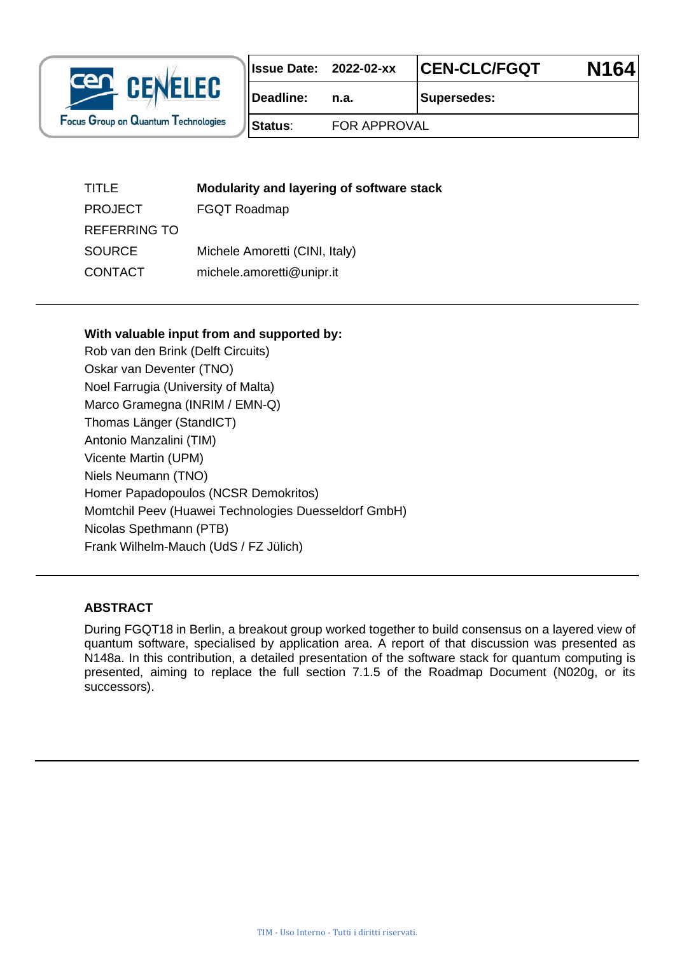

|           | Issue Date: 2022-02-xx | <b>CEN-CLC/FGQT</b> | N <sub>164</sub> |
|-----------|------------------------|---------------------|------------------|
| Deadline: |                        | <b>Supersedes:</b>  |                  |

**Status**: FOR APPROVAL

| TITLE               | Modularity and layering of software stack |
|---------------------|-------------------------------------------|
| <b>PROJECT</b>      | <b>FGQT Roadmap</b>                       |
| <b>REFERRING TO</b> |                                           |
| <b>SOURCE</b>       | Michele Amoretti (CINI, Italy)            |
| <b>CONTACT</b>      | michele.amoretti@unipr.it                 |
|                     |                                           |

#### **With valuable input from and supported by:**

Rob van den Brink (Delft Circuits) Oskar van Deventer (TNO) Noel Farrugia (University of Malta) Marco Gramegna (INRIM / EMN-Q) Thomas Länger (StandICT) Antonio Manzalini (TIM) Vicente Martin (UPM) Niels Neumann (TNO) Homer Papadopoulos (NCSR Demokritos) Momtchil Peev (Huawei Technologies Duesseldorf GmbH) Nicolas Spethmann (PTB) Frank Wilhelm-Mauch (UdS / FZ Jülich)

#### **ABSTRACT**

During FGQT18 in Berlin, a breakout group worked together to build consensus on a layered view of quantum software, specialised by application area. A report of that discussion was presented as N148a. In this contribution, a detailed presentation of the software stack for quantum computing is presented, aiming to replace the full section 7.1.5 of the Roadmap Document (N020g, or its successors).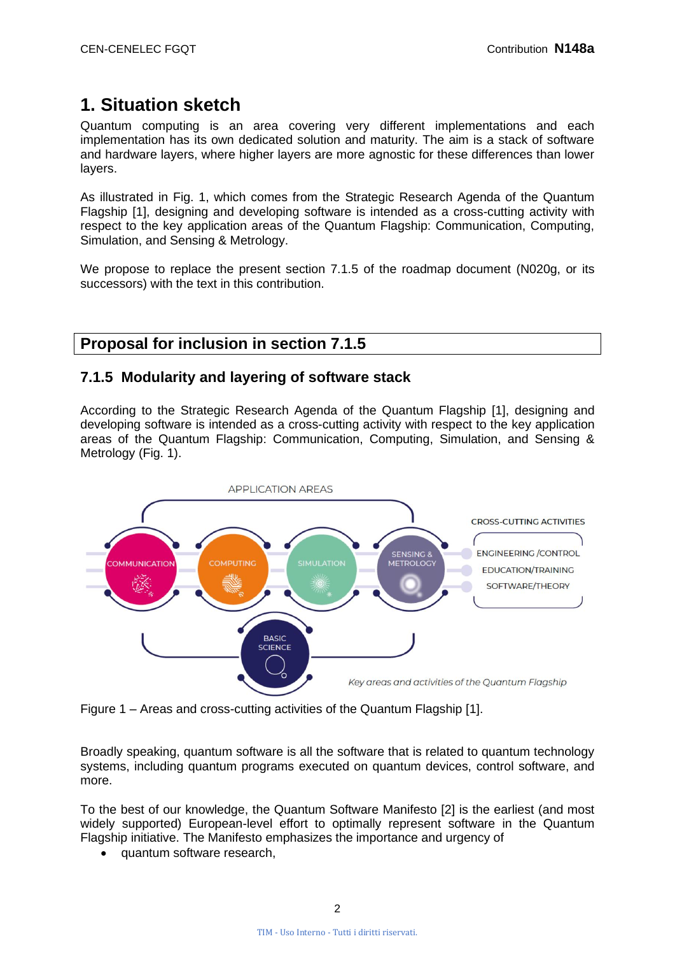# **1. Situation sketch**

Quantum computing is an area covering very different implementations and each implementation has its own dedicated solution and maturity. The aim is a stack of software and hardware layers, where higher layers are more agnostic for these differences than lower layers.

As illustrated in Fig. 1, which comes from the Strategic Research Agenda of the Quantum Flagship [1], designing and developing software is intended as a cross-cutting activity with respect to the key application areas of the Quantum Flagship: Communication, Computing, Simulation, and Sensing & Metrology.

We propose to replace the present section 7.1.5 of the roadmap document (N020g, or its successors) with the text in this contribution.

## **Proposal for inclusion in section 7.1.5**

#### **7.1.5 Modularity and layering of software stack**

According to the Strategic Research Agenda of the Quantum Flagship [1], designing and developing software is intended as a cross-cutting activity with respect to the key application areas of the Quantum Flagship: Communication, Computing, Simulation, and Sensing & Metrology (Fig. 1).



Figure 1 – Areas and cross-cutting activities of the Quantum Flagship [1].

Broadly speaking, quantum software is all the software that is related to quantum technology systems, including quantum programs executed on quantum devices, control software, and more.

To the best of our knowledge, the Quantum Software Manifesto [2] is the earliest (and most widely supported) European-level effort to optimally represent software in the Quantum Flagship initiative. The Manifesto emphasizes the importance and urgency of

• quantum software research,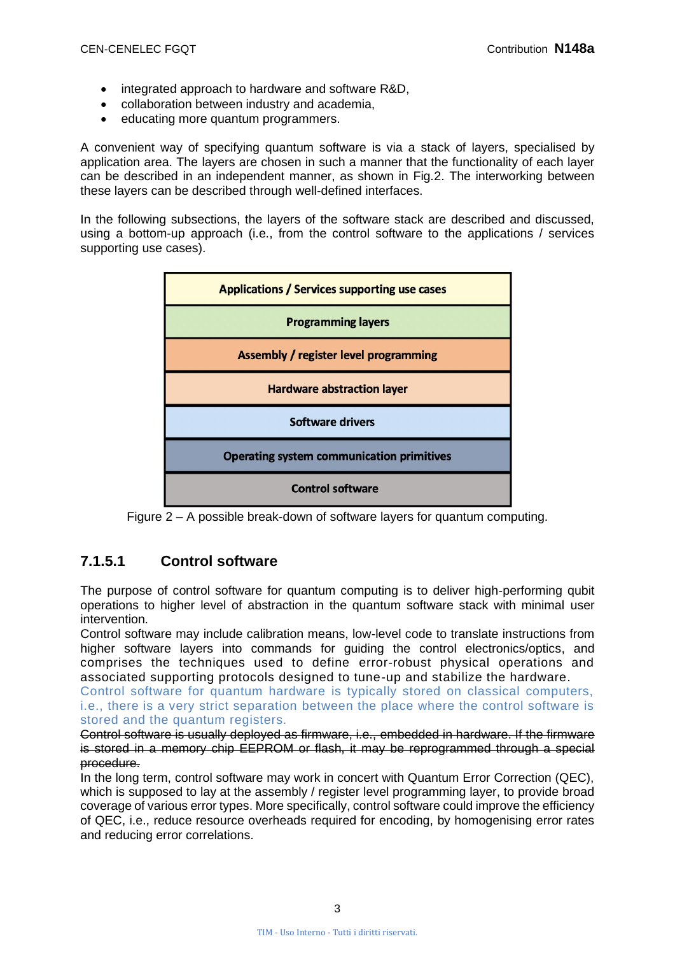- integrated approach to hardware and software R&D,
- collaboration between industry and academia,
- educating more quantum programmers.

A convenient way of specifying quantum software is via a stack of layers, specialised by application area. The layers are chosen in such a manner that the functionality of each layer can be described in an independent manner, as shown in Fig.2. The interworking between these layers can be described through well-defined interfaces.

In the following subsections, the layers of the software stack are described and discussed, using a bottom-up approach (i.e., from the control software to the applications / services supporting use cases).



Figure 2 – A possible break-down of software layers for quantum computing.

## **7.1.5.1 Control software**

The purpose of control software for quantum computing is to deliver high-performing qubit operations to higher level of abstraction in the quantum software stack with minimal user intervention.

Control software may include calibration means, low-level code to translate instructions from higher software layers into commands for guiding the control electronics/optics, and comprises the techniques used to define error-robust physical operations and associated supporting protocols designed to tune-up and stabilize the hardware.

Control software for quantum hardware is typically stored on classical computers, i.e., there is a very strict separation between the place where the control software is stored and the quantum registers.

Control software is usually deployed as firmware, i.e., embedded in hardware. If the firmware is stored in a memory chip EEPROM or flash, it may be reprogrammed through a special procedure.

In the long term, control software may work in concert with Quantum Error Correction (QEC), which is supposed to lay at the assembly / register level programming layer, to provide broad coverage of various error types. More specifically, control software could improve the efficiency of QEC, i.e., reduce resource overheads required for encoding, by homogenising error rates and reducing error correlations.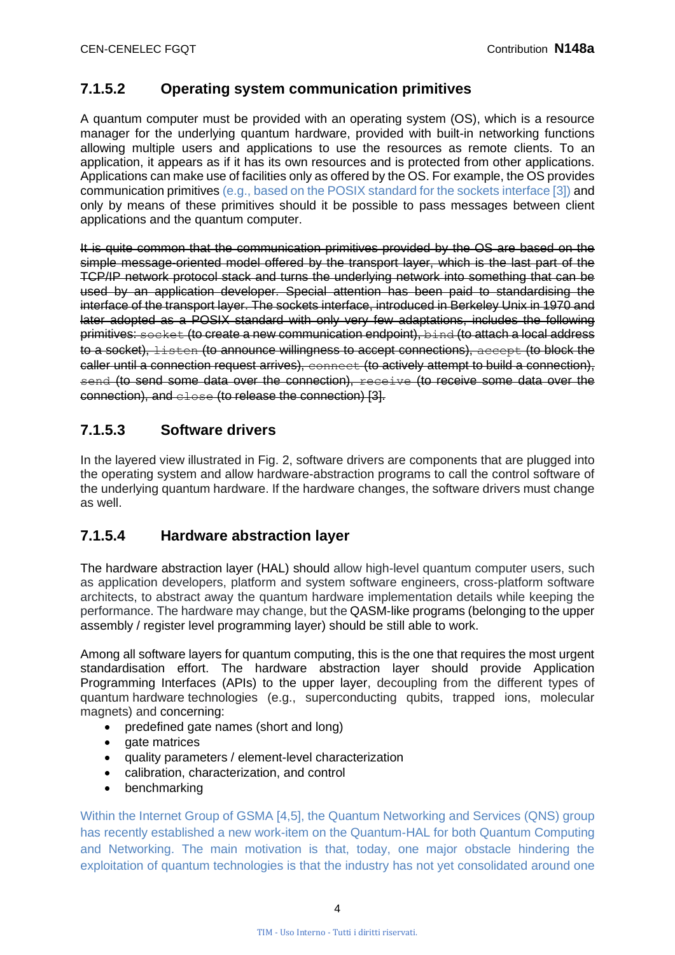#### **7.1.5.2 Operating system communication primitives**

A quantum computer must be provided with an operating system (OS), which is a resource manager for the underlying quantum hardware, provided with built-in networking functions allowing multiple users and applications to use the resources as remote clients. To an application, it appears as if it has its own resources and is protected from other applications. Applications can make use of facilities only as offered by the OS. For example, the OS provides communication primitives (e.g., based on the POSIX standard for the sockets interface [3]) and only by means of these primitives should it be possible to pass messages between client applications and the quantum computer.

It is quite common that the communication primitives provided by the OS are based on the simple message-oriented model offered by the transport layer, which is the last part of the TCP/IP network protocol stack and turns the underlying network into something that can be used by an application developer. Special attention has been paid to standardising the interface of the transport layer. The sockets interface, introduced in Berkeley Unix in 1970 and later adopted as a POSIX standard with only very few adaptations, includes the following primitives: socket (to create a new communication endpoint), bind (to attach a local address to a socket), listen (to announce willingness to accept connections), accept (to block the caller until a connection request arrives), connect (to actively attempt to build a connection), send (to send some data over the connection), receive (to receive some data over the connection), and close (to release the connection) [3].

#### **7.1.5.3 Software drivers**

In the layered view illustrated in Fig. 2, software drivers are components that are plugged into the operating system and allow hardware-abstraction programs to call the control software of the underlying quantum hardware. If the hardware changes, the software drivers must change as well.

#### **7.1.5.4 Hardware abstraction layer**

The hardware abstraction layer (HAL) should allow high-level quantum computer users, such as application developers, platform and system software engineers, cross-platform software architects, to abstract away the quantum hardware implementation details while keeping the performance. The hardware may change, but the QASM-like programs (belonging to the upper assembly / register level programming layer) should be still able to work.

Among all software layers for quantum computing, this is the one that requires the most urgent standardisation effort. The hardware abstraction layer should provide Application Programming Interfaces (APIs) to the upper layer, decoupling from the different types of quantum hardware technologies (e.g., superconducting qubits, trapped ions, molecular magnets) and concerning:

- predefined gate names (short and long)
- gate matrices
- quality parameters / element-level characterization
- calibration, characterization, and control
- benchmarking

Within the Internet Group of GSMA [4,5], the Quantum Networking and Services (QNS) group has recently established a new work-item on the Quantum-HAL for both Quantum Computing and Networking. The main motivation is that, today, one major obstacle hindering the exploitation of quantum technologies is that the industry has not yet consolidated around one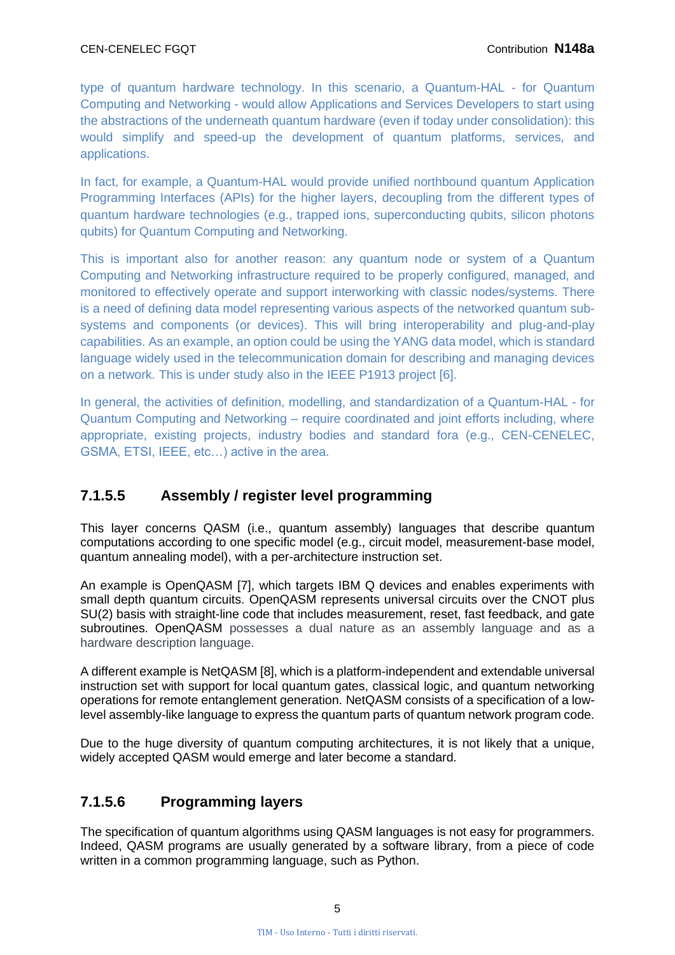type of quantum hardware technology. In this scenario, a Quantum-HAL - for Quantum Computing and Networking - would allow Applications and Services Developers to start using the abstractions of the underneath quantum hardware (even if today under consolidation): this would simplify and speed-up the development of quantum platforms, services, and applications.

In fact, for example, a Quantum-HAL would provide unified northbound quantum Application Programming Interfaces (APIs) for the higher layers, decoupling from the different types of quantum hardware technologies (e.g., trapped ions, superconducting qubits, silicon photons qubits) for Quantum Computing and Networking.

This is important also for another reason: any quantum node or system of a Quantum Computing and Networking infrastructure required to be properly configured, managed, and monitored to effectively operate and support interworking with classic nodes/systems. There is a need of defining data model representing various aspects of the networked quantum subsystems and components (or devices). This will bring interoperability and plug-and-play capabilities. As an example, an option could be using the YANG data model, which is standard language widely used in the telecommunication domain for describing and managing devices on a network. This is under study also in the IEEE P1913 project [6].

In general, the activities of definition, modelling, and standardization of a Quantum-HAL - for Quantum Computing and Networking – require coordinated and joint efforts including, where appropriate, existing projects, industry bodies and standard fora (e.g., CEN-CENELEC, GSMA, ETSI, IEEE, etc…) active in the area.

## **7.1.5.5 Assembly / register level programming**

This layer concerns QASM (i.e., quantum assembly) languages that describe quantum computations according to one specific model (e.g., circuit model, measurement-base model, quantum annealing model), with a per-architecture instruction set.

An example is OpenQASM [7], which targets IBM Q devices and enables experiments with small depth quantum circuits. OpenQASM represents universal circuits over the CNOT plus SU(2) basis with straight-line code that includes measurement, reset, fast feedback, and gate subroutines. OpenQASM possesses a dual nature as an assembly language and as a hardware description language.

A different example is NetQASM [8], which is a platform-independent and extendable universal instruction set with support for local quantum gates, classical logic, and quantum networking operations for remote entanglement generation. NetQASM consists of a specification of a lowlevel assembly-like language to express the quantum parts of quantum network program code.

Due to the huge diversity of quantum computing architectures, it is not likely that a unique, widely accepted QASM would emerge and later become a standard.

## **7.1.5.6 Programming layers**

The specification of quantum algorithms using QASM languages is not easy for programmers. Indeed, QASM programs are usually generated by a software library, from a piece of code written in a common programming language, such as Python.